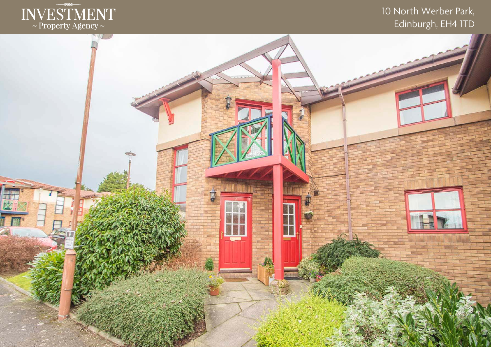

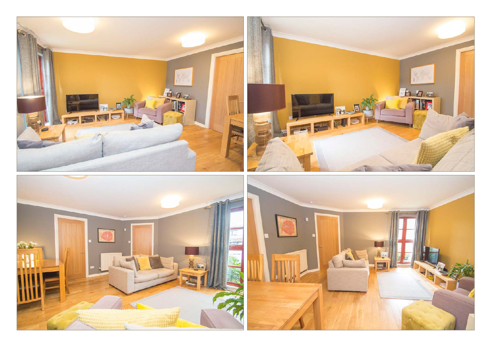![](_page_1_Picture_0.jpeg)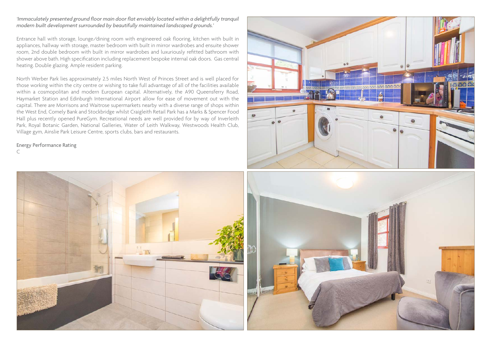## *'Immaculately presented ground floor main door flat enviably located within a delightfully tranquil modern built development surrounded by beautifully maintained landscaped grounds.'*

Entrance hall with storage, lounge/dining room with engineered oak flooring, kitchen with built in appliances, hallway with storage, master bedroom with built in mirror wardrobes and ensuite shower room, 2nd double bedroom with built in mirror wardrobes and luxuriously refitted bathroom with shower above bath. High specification including replacement bespoke internal oak doors. Gas central heating. Double glazing. Ample resident parking.

North Werber Park lies approximately 2.5 miles North West of Princes Street and is well placed for those working within the city centre or wishing to take full advantage of all of the facilities available within a cosmopolitan and modern European capital. Alternatively, the A90 Queensferry Road, Haymarket Station and Edinburgh International Airport allow for ease of movement out with the capital. There are Morrisons and Waitrose supermarkets nearby with a diverse range of shops within the West End, Comely Bank and Stockbridge whilst Craigleith Retail Park has a Marks & Spencer Food Hall plus recently opened PureGym. Recreational needs are well provided for by way of Inverleith Park, Royal Botanic Garden, National Galleries, Water of Leith Walkway, Westwoods Health Club, Village gym, Ainslie Park Leisure Centre, sports clubs, bars and restaurants.

Energy Performance Rating C

![](_page_2_Picture_4.jpeg)

![](_page_2_Picture_5.jpeg)